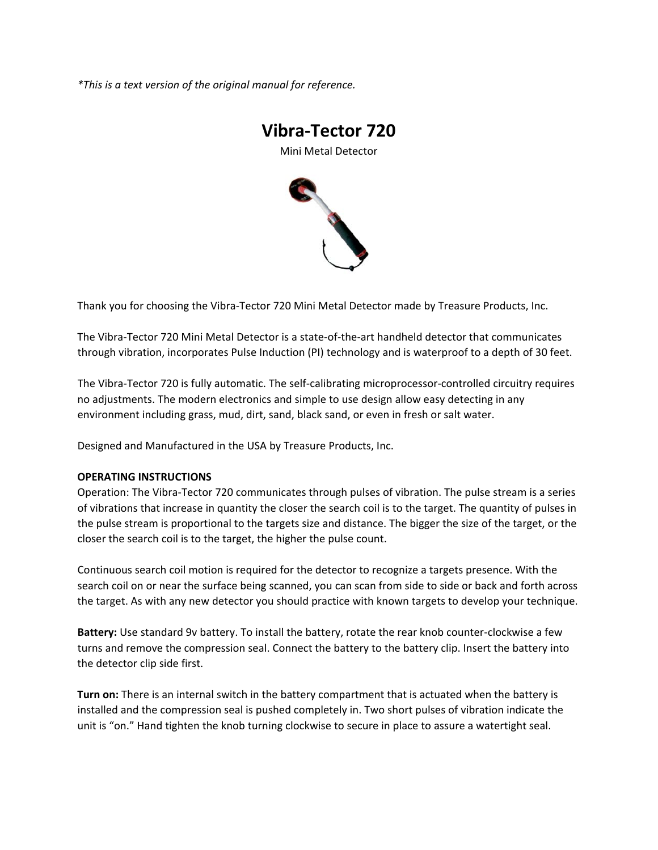*\*This is a text version of the original manual for reference.*



Thank you for choosing the Vibra‐Tector 720 Mini Metal Detector made by Treasure Products, Inc.

The Vibra‐Tector 720 Mini Metal Detector is a state‐of‐the‐art handheld detector that communicates through vibration, incorporates Pulse Induction (PI) technology and is waterproof to a depth of 30 feet.

The Vibra‐Tector 720 is fully automatic. The self‐calibrating microprocessor‐controlled circuitry requires no adjustments. The modern electronics and simple to use design allow easy detecting in any environment including grass, mud, dirt, sand, black sand, or even in fresh or salt water.

Designed and Manufactured in the USA by Treasure Products, Inc.

## **OPERATING INSTRUCTIONS**

Operation: The Vibra‐Tector 720 communicates through pulses of vibration. The pulse stream is a series of vibrations that increase in quantity the closer the search coil is to the target. The quantity of pulses in the pulse stream is proportional to the targets size and distance. The bigger the size of the target, or the closer the search coil is to the target, the higher the pulse count.

Continuous search coil motion is required for the detector to recognize a targets presence. With the search coil on or near the surface being scanned, you can scan from side to side or back and forth across the target. As with any new detector you should practice with known targets to develop your technique.

**Battery:** Use standard 9v battery. To install the battery, rotate the rear knob counter‐clockwise a few turns and remove the compression seal. Connect the battery to the battery clip. Insert the battery into the detector clip side first.

**Turn on:** There is an internal switch in the battery compartment that is actuated when the battery is installed and the compression seal is pushed completely in. Two short pulses of vibration indicate the unit is "on." Hand tighten the knob turning clockwise to secure in place to assure a watertight seal.